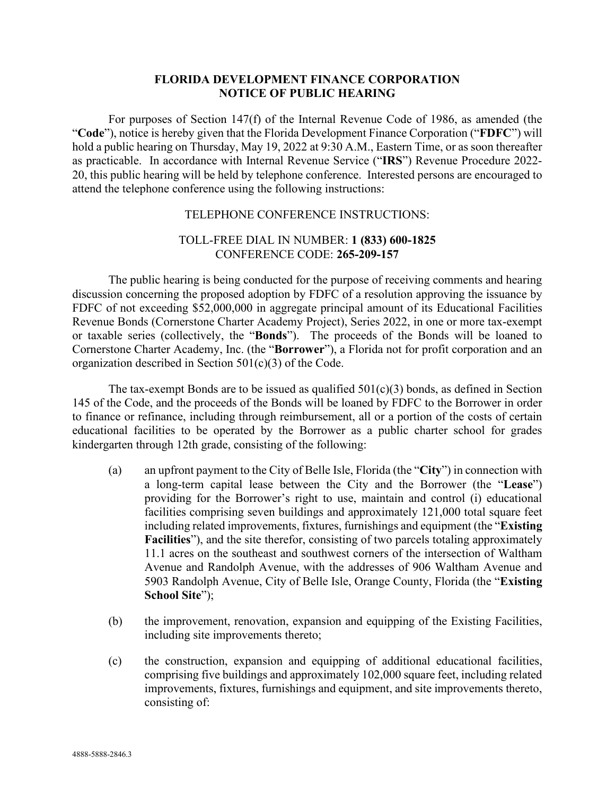## **FLORIDA DEVELOPMENT FINANCE CORPORATION NOTICE OF PUBLIC HEARING**

For purposes of Section 147(f) of the Internal Revenue Code of 1986, as amended (the "**Code**"), notice is hereby given that the Florida Development Finance Corporation ("**FDFC**") will hold a public hearing on Thursday, May 19, 2022 at 9:30 A.M., Eastern Time, or as soon thereafter as practicable. In accordance with Internal Revenue Service ("**IRS**") Revenue Procedure 2022- 20, this public hearing will be held by telephone conference. Interested persons are encouraged to attend the telephone conference using the following instructions:

## TELEPHONE CONFERENCE INSTRUCTIONS:

## TOLL-FREE DIAL IN NUMBER: **1 (833) 600-1825** CONFERENCE CODE: **265-209-157**

The public hearing is being conducted for the purpose of receiving comments and hearing discussion concerning the proposed adoption by FDFC of a resolution approving the issuance by FDFC of not exceeding \$52,000,000 in aggregate principal amount of its Educational Facilities Revenue Bonds (Cornerstone Charter Academy Project), Series 2022, in one or more tax-exempt or taxable series (collectively, the "**Bonds**"). The proceeds of the Bonds will be loaned to Cornerstone Charter Academy, Inc. (the "**Borrower**"), a Florida not for profit corporation and an organization described in Section 501(c)(3) of the Code.

The tax-exempt Bonds are to be issued as qualified  $501(c)(3)$  bonds, as defined in Section 145 of the Code, and the proceeds of the Bonds will be loaned by FDFC to the Borrower in order to finance or refinance, including through reimbursement, all or a portion of the costs of certain educational facilities to be operated by the Borrower as a public charter school for grades kindergarten through 12th grade, consisting of the following:

- (a) an upfront payment to the City of Belle Isle, Florida (the "**City**") in connection with a long-term capital lease between the City and the Borrower (the "**Lease**") providing for the Borrower's right to use, maintain and control (i) educational facilities comprising seven buildings and approximately 121,000 total square feet including related improvements, fixtures, furnishings and equipment (the "**Existing Facilities**"), and the site therefor, consisting of two parcels totaling approximately 11.1 acres on the southeast and southwest corners of the intersection of Waltham Avenue and Randolph Avenue, with the addresses of 906 Waltham Avenue and 5903 Randolph Avenue, City of Belle Isle, Orange County, Florida (the "**Existing School Site**");
- (b) the improvement, renovation, expansion and equipping of the Existing Facilities, including site improvements thereto;
- (c) the construction, expansion and equipping of additional educational facilities, comprising five buildings and approximately 102,000 square feet, including related improvements, fixtures, furnishings and equipment, and site improvements thereto, consisting of: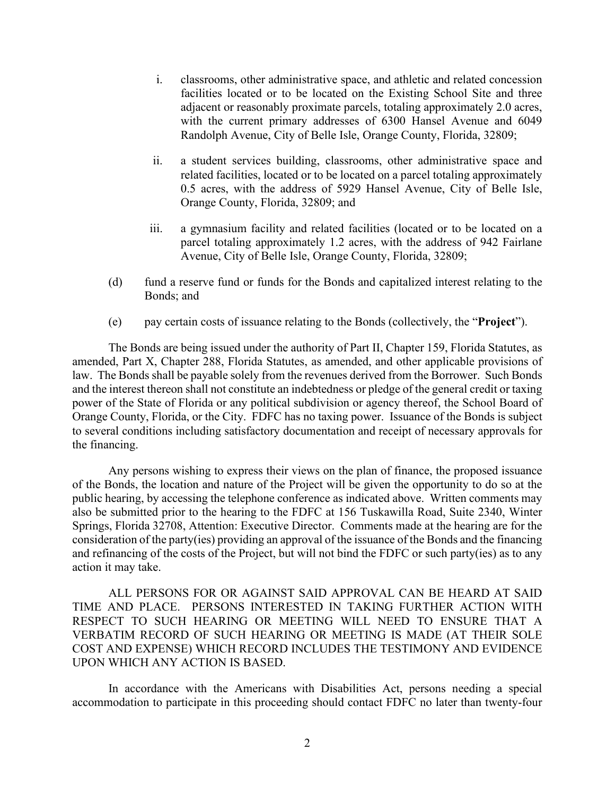- i. classrooms, other administrative space, and athletic and related concession facilities located or to be located on the Existing School Site and three adjacent or reasonably proximate parcels, totaling approximately 2.0 acres, with the current primary addresses of 6300 Hansel Avenue and 6049 Randolph Avenue, City of Belle Isle, Orange County, Florida, 32809;
- ii. a student services building, classrooms, other administrative space and related facilities, located or to be located on a parcel totaling approximately 0.5 acres, with the address of 5929 Hansel Avenue, City of Belle Isle, Orange County, Florida, 32809; and
- iii. a gymnasium facility and related facilities (located or to be located on a parcel totaling approximately 1.2 acres, with the address of 942 Fairlane Avenue, City of Belle Isle, Orange County, Florida, 32809;
- (d) fund a reserve fund or funds for the Bonds and capitalized interest relating to the Bonds; and
- (e) pay certain costs of issuance relating to the Bonds (collectively, the "**Project**").

The Bonds are being issued under the authority of Part II, Chapter 159, Florida Statutes, as amended, Part X, Chapter 288, Florida Statutes, as amended, and other applicable provisions of law. The Bonds shall be payable solely from the revenues derived from the Borrower. Such Bonds and the interest thereon shall not constitute an indebtedness or pledge of the general credit or taxing power of the State of Florida or any political subdivision or agency thereof, the School Board of Orange County, Florida, or the City. FDFC has no taxing power. Issuance of the Bonds is subject to several conditions including satisfactory documentation and receipt of necessary approvals for the financing.

Any persons wishing to express their views on the plan of finance, the proposed issuance of the Bonds, the location and nature of the Project will be given the opportunity to do so at the public hearing, by accessing the telephone conference as indicated above. Written comments may also be submitted prior to the hearing to the FDFC at 156 Tuskawilla Road, Suite 2340, Winter Springs, Florida 32708, Attention: Executive Director. Comments made at the hearing are for the consideration of the party(ies) providing an approval of the issuance of the Bonds and the financing and refinancing of the costs of the Project, but will not bind the FDFC or such party(ies) as to any action it may take.

ALL PERSONS FOR OR AGAINST SAID APPROVAL CAN BE HEARD AT SAID TIME AND PLACE. PERSONS INTERESTED IN TAKING FURTHER ACTION WITH RESPECT TO SUCH HEARING OR MEETING WILL NEED TO ENSURE THAT A VERBATIM RECORD OF SUCH HEARING OR MEETING IS MADE (AT THEIR SOLE COST AND EXPENSE) WHICH RECORD INCLUDES THE TESTIMONY AND EVIDENCE UPON WHICH ANY ACTION IS BASED.

In accordance with the Americans with Disabilities Act, persons needing a special accommodation to participate in this proceeding should contact FDFC no later than twenty-four